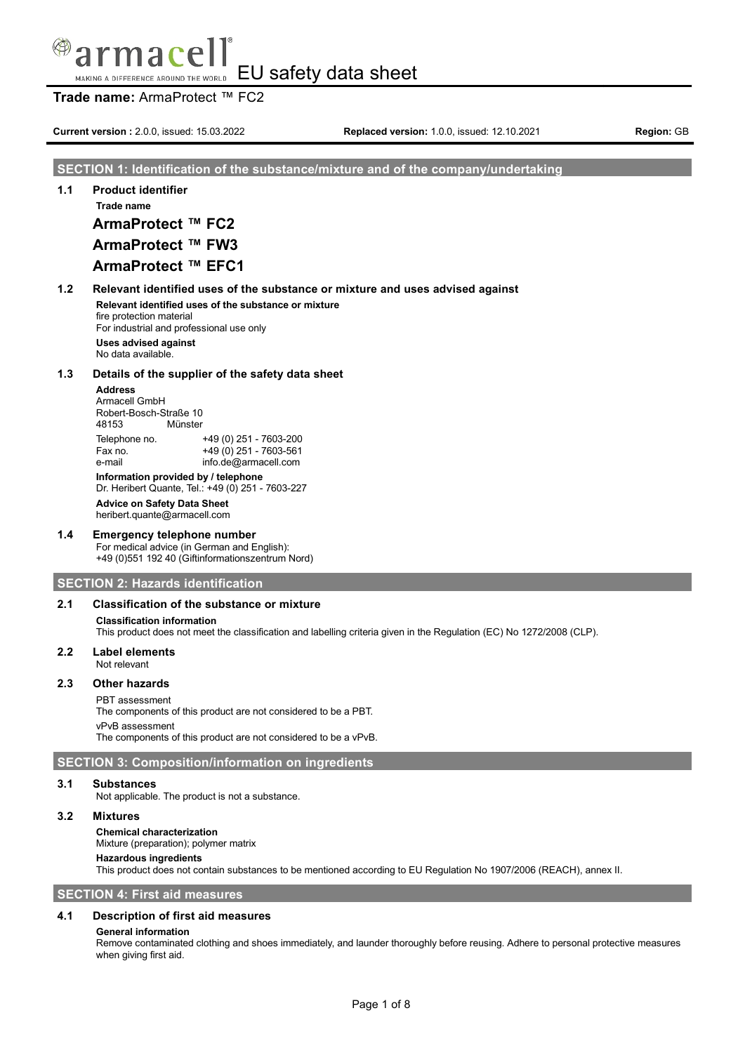## **Trade name:** ArmaProtect ™ FC2

**Current version** : 2.0.0, issued: 15.03.2022 **Replaced version:** 1.0.0, issued: 12.10.2021 **Region:** GB

## **SECTION 1: Identification of the substance/mixture and of the company/undertaking**

**1.1 Product identifier Trade name**

**ArmaProtect ™ FC2**

# **ArmaProtect ™ FW3**

## **ArmaProtect ™ EFC1**

**1.2 Relevant identified uses of the substance or mixture and uses advised against Relevant identified uses of the substance or mixture**

fire protection material For industrial and professional use only

**Uses advised against** No data available.

### **1.3 Details of the supplier of the safety data sheet**

## **Address**

Armacell GmbH Robert-Bosch-Straße 10<br>48153 Münster Münster

Telephone no. +49 (0) 251 - 7603-200 Fax no.  $+49(0)251 - 7603 - 561$ e-mail info.de@armacell.com

**Information provided by / telephone**

Dr. Heribert Quante, Tel.: +49 (0) 251 - 7603-227

**Advice on Safety Data Sheet** heribert.quante@armacell.com

### **1.4 Emergency telephone number**

For medical advice (in German and English): +49 (0)551 192 40 (Giftinformationszentrum Nord)

### **SECTION 2: Hazards identification**

### **2.1 Classification of the substance or mixture**

### **Classification information**

This product does not meet the classification and labelling criteria given in the Regulation (EC) No 1272/2008 (CLP).

### **2.2 Label elements**

Not relevant

## **2.3 Other hazards**

### PBT assessment

The components of this product are not considered to be a PBT. vPvB assessment The components of this product are not considered to be a vPvB.

## **SECTION 3: Composition/information on ingredients**

### **3.1 Substances**

Not applicable. The product is not a substance.

## **3.2 Mixtures**

**Chemical characterization**

Mixture (preparation); polymer matrix

## **Hazardous ingredients**

This product does not contain substances to be mentioned according to EU Regulation No 1907/2006 (REACH), annex II.

**SECTION 4: First aid measures**

### **4.1 Description of first aid measures**

### **General information**

Remove contaminated clothing and shoes immediately, and launder thoroughly before reusing. Adhere to personal protective measures when giving first aid.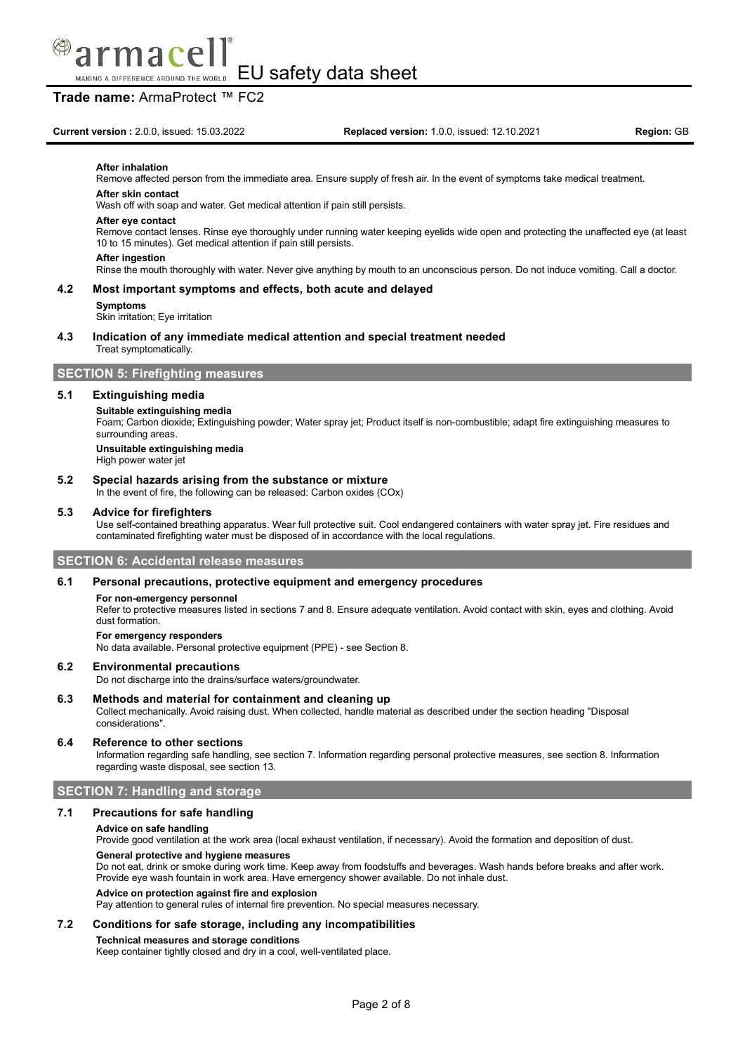

## **Trade name:** ArmaProtect ™ FC2

#### **After inhalation**

Remove affected person from the immediate area. Ensure supply of fresh air. In the event of symptoms take medical treatment.

### **After skin contact**

Wash off with soap and water. Get medical attention if pain still persists.

#### **After eye contact**

Remove contact lenses. Rinse eye thoroughly under running water keeping eyelids wide open and protecting the unaffected eye (at least 10 to 15 minutes). Get medical attention if pain still persists.

#### **After ingestion**

Rinse the mouth thoroughly with water. Never give anything by mouth to an unconscious person. Do not induce vomiting. Call a doctor.

### **4.2 Most important symptoms and effects, both acute and delayed**

#### **Symptoms**

Skin irritation; Eye irritation

#### **4.3 Indication of any immediate medical attention and special treatment needed** Treat symptomatically.

## **SECTION 5: Firefighting measures**

#### **5.1 Extinguishing media**

#### **Suitable extinguishing media**

Foam; Carbon dioxide; Extinguishing powder; Water spray jet; Product itself is non-combustible; adapt fire extinguishing measures to surrounding areas

### **Unsuitable extinguishing media**

High power water jet

### **5.2 Special hazards arising from the substance or mixture**

In the event of fire, the following can be released: Carbon oxides (COx)

### **5.3 Advice for firefighters**

Use self-contained breathing apparatus. Wear full protective suit. Cool endangered containers with water spray jet. Fire residues and contaminated firefighting water must be disposed of in accordance with the local regulations.

### **SECTION 6: Accidental release measures**

#### **6.1 Personal precautions, protective equipment and emergency procedures**

#### **For non-emergency personnel**

Refer to protective measures listed in sections 7 and 8. Ensure adequate ventilation. Avoid contact with skin, eyes and clothing. Avoid dust formation.

#### **For emergency responders**

No data available. Personal protective equipment (PPE) - see Section 8.

#### **6.2 Environmental precautions**

Do not discharge into the drains/surface waters/groundwater.

#### **6.3 Methods and material for containment and cleaning up**

Collect mechanically. Avoid raising dust. When collected, handle material as described under the section heading "Disposal considerations".

#### **6.4 Reference to other sections**

Information regarding safe handling, see section 7. Information regarding personal protective measures, see section 8. Information regarding waste disposal, see section 13.

### **SECTION 7: Handling and storage**

### **7.1 Precautions for safe handling**

#### **Advice on safe handling**

Provide good ventilation at the work area (local exhaust ventilation, if necessary). Avoid the formation and deposition of dust.

#### **General protective and hygiene measures**

Do not eat, drink or smoke during work time. Keep away from foodstuffs and beverages. Wash hands before breaks and after work. Provide eye wash fountain in work area. Have emergency shower available. Do not inhale dust.

### **Advice on protection against fire and explosion**

Pay attention to general rules of internal fire prevention. No special measures necessary.

### **7.2 Conditions for safe storage, including any incompatibilities**

**Technical measures and storage conditions**

Keep container tightly closed and dry in a cool, well-ventilated place.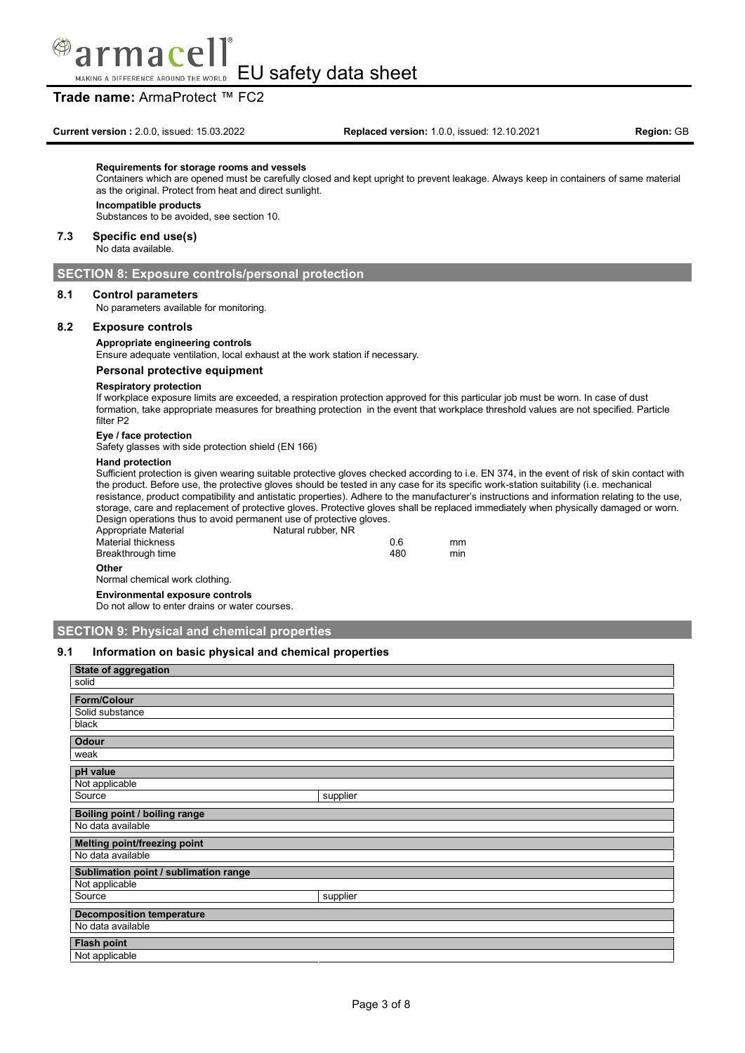

## **Trade name:** ArmaProtect ™ FC2

#### **Requirements for storage rooms and vessels**

Containers which are opened must be carefully closed and kept upright to prevent leakage. Always keep in containers of same material as the original. Protect from heat and direct sunlight.

#### **Incompatible products**

Substances to be avoided, see section 10.

#### **7.3 Specific end use(s)**

No data available.

### **SECTION 8: Exposure controls/personal protection**

### **8.1 Control parameters**

No parameters available for monitoring.

### **8.2 Exposure controls**

**Appropriate engineering controls**

Ensure adequate ventilation, local exhaust at the work station if necessary.

#### **Personal protective equipment**

#### **Respiratory protection**

If workplace exposure limits are exceeded, a respiration protection approved for this particular job must be worn. In case of dust formation, take appropriate measures for breathing protection in the event that workplace threshold values are not specified. Particle filter P2

#### **Eye / face protection**

Safety glasses with side protection shield (EN 166)

#### **Hand protection**

Sufficient protection is given wearing suitable protective gloves checked according to i.e. EN 374, in the event of risk of skin contact with the product. Before use, the protective gloves should be tested in any case for its specific work-station suitability (i.e. mechanical resistance, product compatibility and antistatic properties). Adhere to the manufacturer's instructions and information relating to the use, storage, care and replacement of protective gloves. Protective gloves shall be replaced immediately when physically damaged or worn. Design operations thus to avoid permanent use of protective gloves.

| Appropriate Material | Natural rubber, NR |     |     |
|----------------------|--------------------|-----|-----|
| Material thickness   |                    | 0.6 | mm  |
| Breakthrough time    |                    | 480 | min |
| Other                |                    |     |     |

Normal chemical work clothing.

**Environmental exposure controls** Do not allow to enter drains or water courses.

## **SECTION 9: Physical and chemical properties**

### **9.1 Information on basic physical and chemical properties**

| State of aggregation                  |          |  |
|---------------------------------------|----------|--|
| solid                                 |          |  |
| Form/Colour                           |          |  |
| Solid substance                       |          |  |
| black                                 |          |  |
| <b>Odour</b>                          |          |  |
| weak                                  |          |  |
| pH value                              |          |  |
| Not applicable                        |          |  |
| Source                                | supplier |  |
| <b>Boiling point / boiling range</b>  |          |  |
| No data available                     |          |  |
| <b>Melting point/freezing point</b>   |          |  |
| No data available                     |          |  |
| Sublimation point / sublimation range |          |  |
| Not applicable                        |          |  |
| Source                                | supplier |  |
| <b>Decomposition temperature</b>      |          |  |
| No data available                     |          |  |
| <b>Flash point</b>                    |          |  |
| Not applicable                        |          |  |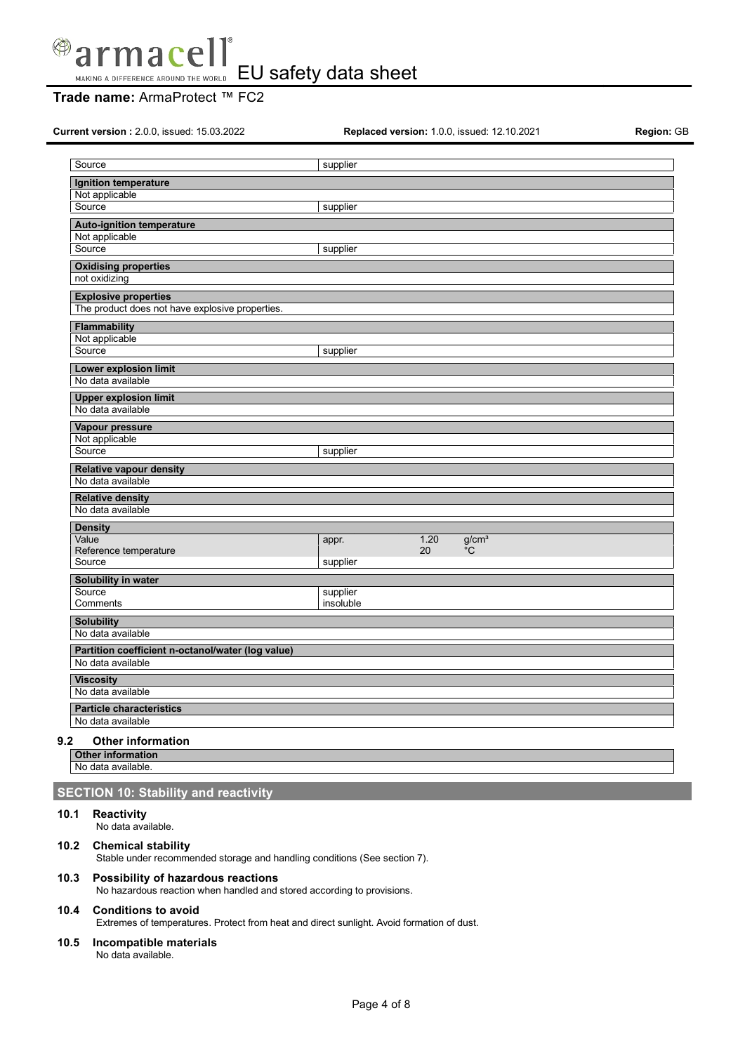

# **Trade name:** ArmaProtect ™ FC2

**Current version :** 2.0.0, issued: 15.03.2022 **Replaced version:** 1.0.0, issued: 12.10.2021 **Region:** GB

| Source                                              | supplier              |      |                   |  |
|-----------------------------------------------------|-----------------------|------|-------------------|--|
| Ignition temperature                                |                       |      |                   |  |
| Not applicable                                      |                       |      |                   |  |
| Source                                              | supplier              |      |                   |  |
| <b>Auto-ignition temperature</b>                    |                       |      |                   |  |
| Not applicable<br>Source                            | supplier              |      |                   |  |
|                                                     |                       |      |                   |  |
| <b>Oxidising properties</b><br>not oxidizing        |                       |      |                   |  |
| <b>Explosive properties</b>                         |                       |      |                   |  |
| The product does not have explosive properties.     |                       |      |                   |  |
| <b>Flammability</b>                                 |                       |      |                   |  |
| Not applicable                                      |                       |      |                   |  |
| Source                                              | supplier              |      |                   |  |
| Lower explosion limit                               |                       |      |                   |  |
| No data available                                   |                       |      |                   |  |
| <b>Upper explosion limit</b>                        |                       |      |                   |  |
| No data available                                   |                       |      |                   |  |
| Vapour pressure                                     |                       |      |                   |  |
| Not applicable<br>Source                            |                       |      |                   |  |
|                                                     | supplier              |      |                   |  |
| <b>Relative vapour density</b><br>No data available |                       |      |                   |  |
|                                                     |                       |      |                   |  |
| <b>Relative density</b><br>No data available        |                       |      |                   |  |
| <b>Density</b>                                      |                       |      |                   |  |
| Value                                               | appr.                 | 1.20 | g/cm <sup>3</sup> |  |
| Reference temperature                               |                       | 20   | $^{\circ}$ C      |  |
| Source                                              | supplier              |      |                   |  |
| Solubility in water                                 |                       |      |                   |  |
| Source<br>Comments                                  | supplier<br>insoluble |      |                   |  |
|                                                     |                       |      |                   |  |
| <b>Solubility</b><br>No data available              |                       |      |                   |  |
| Partition coefficient n-octanol/water (log value)   |                       |      |                   |  |
| No data available                                   |                       |      |                   |  |
| <b>Viscosity</b>                                    |                       |      |                   |  |
| No data available                                   |                       |      |                   |  |
| <b>Particle characteristics</b>                     |                       |      |                   |  |
| No data available                                   |                       |      |                   |  |

**Other information** No data available.

## **SECTION 10: Stability and reactivity**

## **10.1 Reactivity**

No data available.

## **10.2 Chemical stability**

Stable under recommended storage and handling conditions (See section 7).

## **10.3 Possibility of hazardous reactions**

No hazardous reaction when handled and stored according to provisions.

# **10.4 Conditions to avoid**

Extremes of temperatures. Protect from heat and direct sunlight. Avoid formation of dust.

## **10.5 Incompatible materials**

No data available.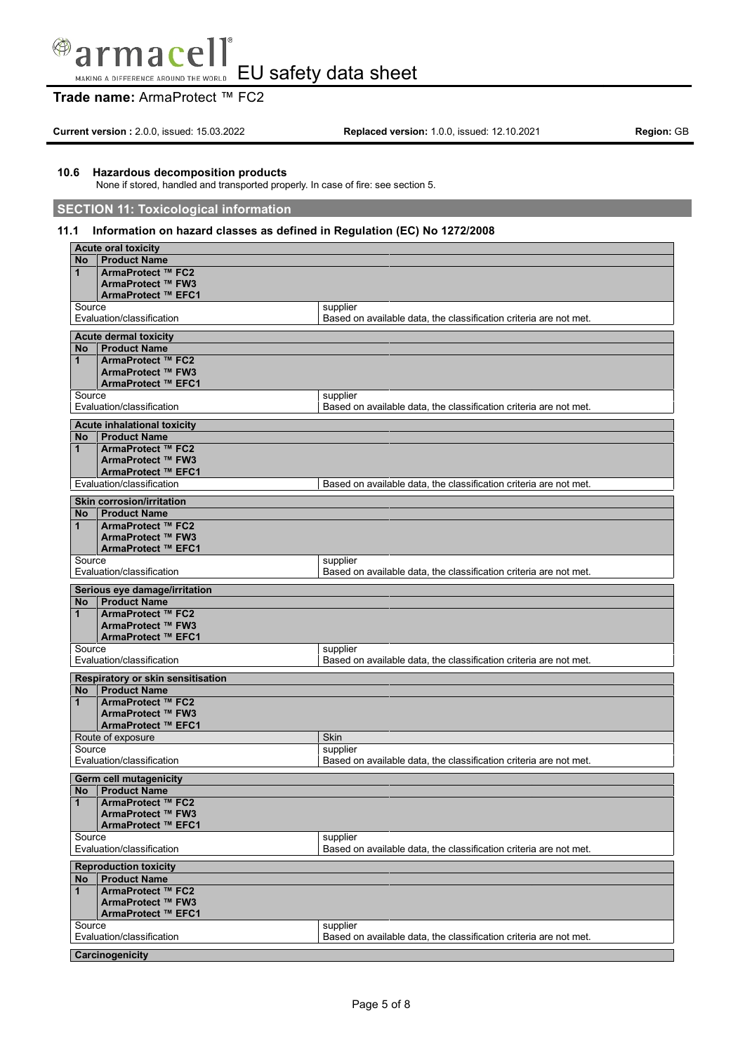### $\bigcirc$ nac a

EU safety data sheet MAKING A DIFFERENCE AROUND THE WORLD

# **Trade name:** ArmaProtect ™ FC2

**Current version :** 2.0.0, issued: 15.03.2022 **Replaced version:** 1.0.0, issued: 12.10.2021 **Region:** GB

## **10.6 Hazardous decomposition products**

None if stored, handled and transported properly. In case of fire: see section 5.

## **SECTION 11: Toxicological information**

## **11.1 Information on hazard classes as defined in Regulation (EC) No 1272/2008**

|                              | <b>Acute oral toxicity</b>               |                                                                               |  |
|------------------------------|------------------------------------------|-------------------------------------------------------------------------------|--|
| No                           | <b>Product Name</b>                      |                                                                               |  |
| 1                            | ArmaProtect ™ FC2                        |                                                                               |  |
|                              | ArmaProtect ™ FW3                        |                                                                               |  |
|                              | ArmaProtect ™ EFC1                       |                                                                               |  |
| Source                       | Evaluation/classification                | supplier<br>Based on available data, the classification criteria are not met. |  |
|                              |                                          |                                                                               |  |
|                              | <b>Acute dermal toxicity</b>             |                                                                               |  |
| No<br>1                      | <b>Product Name</b><br>ArmaProtect ™ FC2 |                                                                               |  |
|                              | ArmaProtect ™ FW3                        |                                                                               |  |
|                              | ArmaProtect ™ EFC1                       |                                                                               |  |
| Source                       |                                          | supplier                                                                      |  |
|                              | Evaluation/classification                | Based on available data, the classification criteria are not met.             |  |
|                              | <b>Acute inhalational toxicity</b>       |                                                                               |  |
| No.                          | <b>Product Name</b>                      |                                                                               |  |
| 1                            | ArmaProtect ™ FC2                        |                                                                               |  |
|                              | ArmaProtect ™ FW3                        |                                                                               |  |
|                              | ArmaProtect ™ EFC1                       |                                                                               |  |
|                              | Evaluation/classification                | Based on available data, the classification criteria are not met.             |  |
|                              | <b>Skin corrosion/irritation</b>         |                                                                               |  |
| No                           | <b>Product Name</b>                      |                                                                               |  |
| 1                            | ArmaProtect ™ FC2                        |                                                                               |  |
|                              | ArmaProtect ™ FW3                        |                                                                               |  |
|                              | ArmaProtect ™ EFC1                       |                                                                               |  |
| Source                       | Evaluation/classification                | supplier<br>Based on available data, the classification criteria are not met. |  |
|                              |                                          |                                                                               |  |
|                              | Serious eye damage/irritation            |                                                                               |  |
| No<br>1                      | <b>Product Name</b><br>ArmaProtect ™ FC2 |                                                                               |  |
|                              | ArmaProtect ™ FW3                        |                                                                               |  |
|                              | ArmaProtect ™ EFC1                       |                                                                               |  |
| Source                       |                                          | supplier                                                                      |  |
|                              | Evaluation/classification                | Based on available data, the classification criteria are not met.             |  |
|                              | Respiratory or skin sensitisation        |                                                                               |  |
| No l                         | <b>Product Name</b>                      |                                                                               |  |
| $\mathbf{1}$                 | ArmaProtect ™ FC2                        |                                                                               |  |
|                              | ArmaProtect ™ FW3                        |                                                                               |  |
|                              | ArmaProtect ™ EFC1                       |                                                                               |  |
| Source                       | Route of exposure                        | Skin<br>supplier                                                              |  |
|                              | Evaluation/classification                | Based on available data, the classification criteria are not met.             |  |
|                              |                                          |                                                                               |  |
|                              | Germ cell mutagenicity                   |                                                                               |  |
| No<br>$\mathbf{1}$           | <b>Product Name</b><br>ArmaProtect ™ FC2 |                                                                               |  |
|                              | ArmaProtect ™ FW3                        |                                                                               |  |
|                              | ArmaProtect ™ EFC1                       |                                                                               |  |
| Source                       |                                          | supplier                                                                      |  |
|                              | Evaluation/classification                | Based on available data, the classification criteria are not met.             |  |
| <b>Reproduction toxicity</b> |                                          |                                                                               |  |
| <b>No</b>                    | <b>Product Name</b>                      |                                                                               |  |
| $\mathbf{1}$                 | ArmaProtect ™ FC2                        |                                                                               |  |
|                              | ArmaProtect ™ FW3                        |                                                                               |  |
|                              | ArmaProtect ™ EFC1                       |                                                                               |  |
| Source                       | Evaluation/classification                | supplier<br>Based on available data, the classification criteria are not met. |  |
|                              |                                          |                                                                               |  |
|                              | Carcinogenicity                          |                                                                               |  |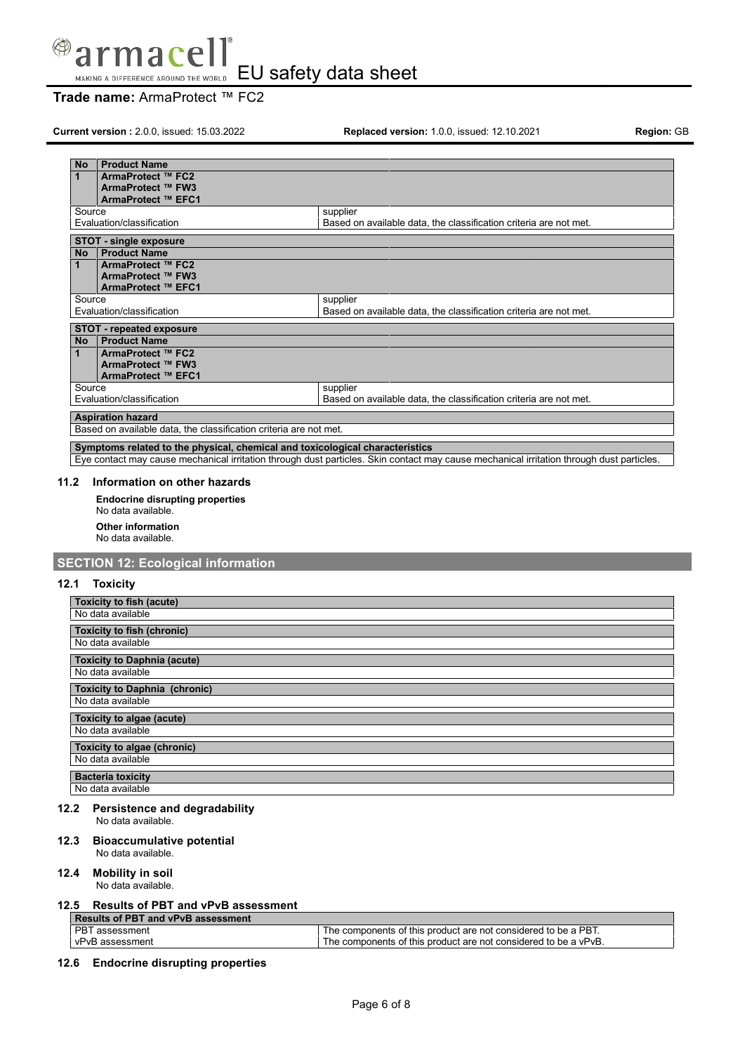

EU safety data sheet

# **Trade name:** ArmaProtect ™ FC2

**Current version :** 2.0.0, issued: 15.03.2022 **Replaced version:** 1.0.0, issued: 12.10.2021 **Region:** GB

| <b>No</b> | <b>Product Name</b>                                                                            |                                                                   |
|-----------|------------------------------------------------------------------------------------------------|-------------------------------------------------------------------|
| 1         | ArmaProtect ™ FC2                                                                              |                                                                   |
|           | ArmaProtect ™ FW3                                                                              |                                                                   |
|           | ArmaProtect ™ EFC1                                                                             |                                                                   |
| Source    |                                                                                                | supplier                                                          |
|           | Evaluation/classification                                                                      | Based on available data, the classification criteria are not met. |
|           | <b>STOT - single exposure</b>                                                                  |                                                                   |
| <b>No</b> | <b>Product Name</b>                                                                            |                                                                   |
| 1         | ArmaProtect ™ FC2                                                                              |                                                                   |
|           | ArmaProtect ™ FW3                                                                              |                                                                   |
|           | ArmaProtect ™ EFC1                                                                             |                                                                   |
| Source    |                                                                                                | supplier                                                          |
|           | Based on available data, the classification criteria are not met.<br>Evaluation/classification |                                                                   |
|           | <b>STOT - repeated exposure</b>                                                                |                                                                   |
| <b>No</b> | <b>Product Name</b>                                                                            |                                                                   |
| 1         | ArmaProtect ™ FC2                                                                              |                                                                   |
|           | ArmaProtect ™ FW3                                                                              |                                                                   |
|           | ArmaProtect ™ EFC1                                                                             |                                                                   |
| Source    |                                                                                                | supplier                                                          |
|           | Evaluation/classification<br>Based on available data, the classification criteria are not met. |                                                                   |
|           | <b>Aspiration hazard</b>                                                                       |                                                                   |
|           | Based on available data, the classification criteria are not met.                              |                                                                   |
|           | Symptoms related to the physical, chemical and toxicological characteristics                   |                                                                   |

Eye contact may cause mechanical irritation through dust particles. Skin contact may cause mechanical irritation through dust particles.

## **11.2 Information on other hazards**

**Endocrine disrupting properties** No data available. **Other information** No data available.

## **SECTION 12: Ecological information**

### **12.1 Toxicity**

| Toxicity to fish (acute)<br>No data available             |
|-----------------------------------------------------------|
| <b>Toxicity to fish (chronic)</b><br>No data available    |
| <b>Toxicity to Daphnia (acute)</b><br>No data available   |
| <b>Toxicity to Daphnia (chronic)</b><br>No data available |
| <b>Toxicity to algae (acute)</b><br>No data available     |
| Toxicity to algae (chronic)<br>No data available          |
| <b>Bacteria toxicity</b><br>No data available             |

## **12.2 Persistence and degradability**

No data available.

## **12.3 Bioaccumulative potential**

No data available.

## **12.4 Mobility in soil**

No data available.

## **12.5 Results of PBT and vPvB assessment**

| Results of PBT and vPvB assessment |                                                                 |  |
|------------------------------------|-----------------------------------------------------------------|--|
| <b>PBT</b> assessment              | The components of this product are not considered to be a PBT.  |  |
| vPvB assessment                    | The components of this product are not considered to be a vPvB. |  |

**12.6 Endocrine disrupting properties**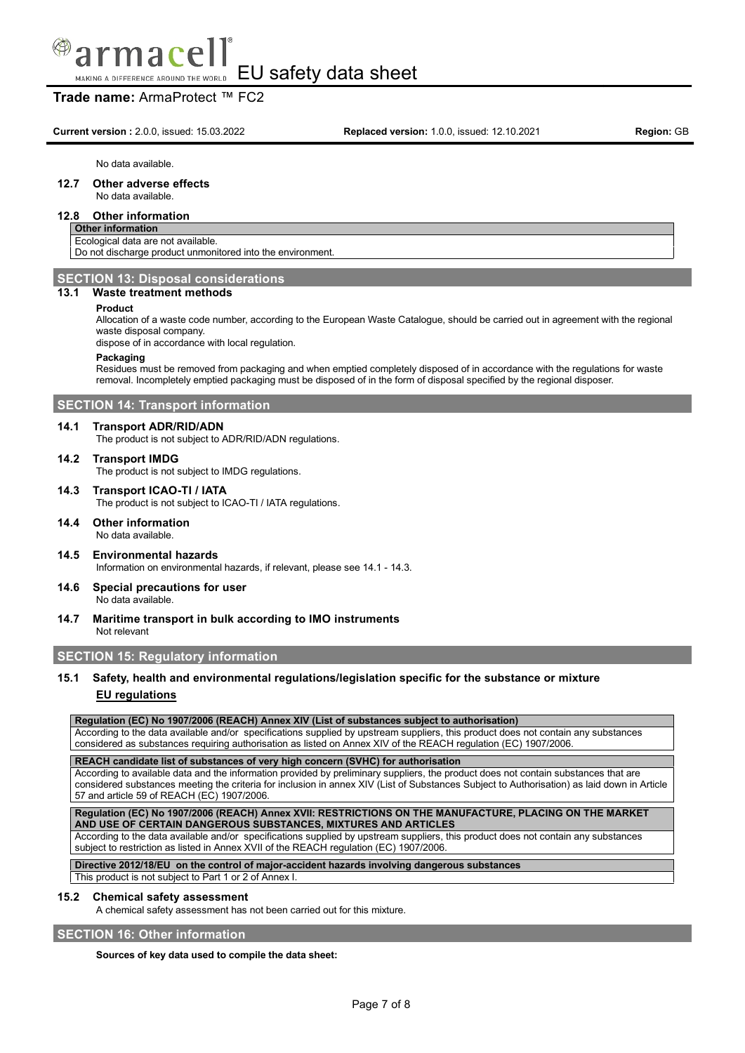

## **Trade name:** ArmaProtect ™ FC2

**Current version** : 2.0.0, issued: 15.03.2022 **Replaced version:** 1.0.0, issued: 12.10.2021 **Region:** GB

No data available.

## **12.7 Other adverse effects**

## No data available.

## **12.8 Other information**

## **Other information**

Ecological data are not available. Do not discharge product unmonitored into the environment.

### **SECTION 13: Disposal considerations**

### **13.1 Waste treatment methods**

#### **Product**

Allocation of a waste code number, according to the European Waste Catalogue, should be carried out in agreement with the regional waste disposal company.

dispose of in accordance with local regulation.

#### **Packaging**

Residues must be removed from packaging and when emptied completely disposed of in accordance with the regulations for waste removal. Incompletely emptied packaging must be disposed of in the form of disposal specified by the regional disposer.

### **SECTION 14: Transport information**

#### **14.1 Transport ADR/RID/ADN**

The product is not subject to ADR/RID/ADN regulations.

#### **14.2 Transport IMDG**

The product is not subject to IMDG regulations.

**14.3 Transport ICAO-TI / IATA**

The product is not subject to ICAO-TI / IATA regulations.

- **14.4 Other information** No data available.
- **14.5 Environmental hazards** Information on environmental hazards, if relevant, please see 14.1 - 14.3.
- **14.6 Special precautions for user** No data available.
- **14.7 Maritime transport in bulk according to IMO instruments** Not relevant

### **SECTION 15: Regulatory information**

## **15.1 Safety, health and environmental regulations/legislation specific for the substance or mixture EU regulations**

## **Regulation (EC) No 1907/2006 (REACH) Annex XIV (List of substances subject to authorisation)**

According to the data available and/or specifications supplied by upstream suppliers, this product does not contain any substances considered as substances requiring authorisation as listed on Annex XIV of the REACH regulation (EC) 1907/2006.

**REACH candidate list of substances of very high concern (SVHC) for authorisation**

According to available data and the information provided by preliminary suppliers, the product does not contain substances that are considered substances meeting the criteria for inclusion in annex XIV (List of Substances Subject to Authorisation) as laid down in Article 57 and article 59 of REACH (EC) 1907/2006.

**Regulation (EC) No 1907/2006 (REACH) Annex XVII: RESTRICTIONS ON THE MANUFACTURE, PLACING ON THE MARKET AND USE OF CERTAIN DANGEROUS SUBSTANCES, MIXTURES AND ARTICLES**

According to the data available and/or specifications supplied by upstream suppliers, this product does not contain any substances subject to restriction as listed in Annex XVII of the REACH regulation (EC) 1907/2006.

**Directive 2012/18/EU on the control of major-accident hazards involving dangerous substances**

### This product is not subject to Part 1 or 2 of Annex I.

### **15.2 Chemical safety assessment**

A chemical safety assessment has not been carried out for this mixture.

### **SECTION 16: Other information**

**Sources of key data used to compile the data sheet:**